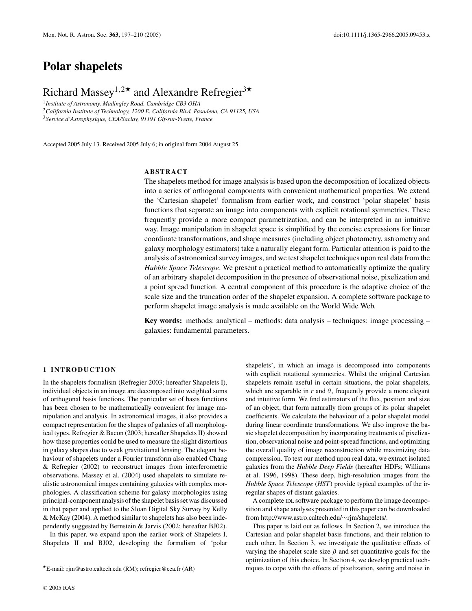# **Polar shapelets**

# Richard Massey<sup>1,2\*</sup> and Alexandre Refregier<sup>3\*</sup>

<sup>1</sup>*Institute of Astronomy, Madingley Road, Cambridge CB3 OHA* <sup>2</sup>*California Institute of Technology, 1200 E. California Blvd, Pasadena, CA 91125, USA* <sup>3</sup>*Service d'Astrophysique, CEA/Saclay, 91191 Gif-sur-Yvette, France*

Accepted 2005 July 13. Received 2005 July 6; in original form 2004 August 25

## **ABSTRACT**

The shapelets method for image analysis is based upon the decomposition of localized objects into a series of orthogonal components with convenient mathematical properties. We extend the 'Cartesian shapelet' formalism from earlier work, and construct 'polar shapelet' basis functions that separate an image into components with explicit rotational symmetries. These frequently provide a more compact parametrization, and can be interpreted in an intuitive way. Image manipulation in shapelet space is simplified by the concise expressions for linear coordinate transformations, and shape measures (including object photometry, astrometry and galaxy morphology estimators) take a naturally elegant form. Particular attention is paid to the analysis of astronomical survey images, and we test shapelet techniques upon real data from the *Hubble Space Telescope*. We present a practical method to automatically optimize the quality of an arbitrary shapelet decomposition in the presence of observational noise, pixelization and a point spread function. A central component of this procedure is the adaptive choice of the scale size and the truncation order of the shapelet expansion. A complete software package to perform shapelet image analysis is made available on the World Wide Web.

**Key words:** methods: analytical – methods: data analysis – techniques: image processing – galaxies: fundamental parameters.

# **1 INTRODUCTION**

In the shapelets formalism (Refregier 2003; hereafter Shapelets I), individual objects in an image are decomposed into weighted sums of orthogonal basis functions. The particular set of basis functions has been chosen to be mathematically convenient for image manipulation and analysis. In astronomical images, it also provides a compact representation for the shapes of galaxies of all morphological types. Refregier & Bacon (2003; hereafter Shapelets II) showed how these properties could be used to measure the slight distortions in galaxy shapes due to weak gravitational lensing. The elegant behaviour of shapelets under a Fourier transform also enabled Chang & Refregier (2002) to reconstruct images from interferometric observations. Massey et al. (2004) used shapelets to simulate realistic astronomical images containing galaxies with complex morphologies. A classification scheme for galaxy morphologies using principal-component analysis of the shapelet basis set was discussed in that paper and applied to the Sloan Digital Sky Survey by Kelly & McKay (2004). A method similar to shapelets has also been independently suggested by Bernstein & Jarvis (2002; hereafter BJ02).

In this paper, we expand upon the earlier work of Shapelets I, Shapelets II and BJ02, developing the formalism of 'polar shapelets', in which an image is decomposed into components with explicit rotational symmetries. Whilst the original Cartesian shapelets remain useful in certain situations, the polar shapelets, which are separable in  $r$  and  $\theta$ , frequently provide a more elegant and intuitive form. We find estimators of the flux, position and size of an object, that form naturally from groups of its polar shapelet coefficients. We calculate the behaviour of a polar shapelet model during linear coordinate transformations. We also improve the basic shapelet decomposition by incorporating treatments of pixelization, observational noise and point-spread functions, and optimizing the overall quality of image reconstruction while maximizing data compression. To test our method upon real data, we extract isolated galaxies from the *Hubble Deep Fields* (hereafter HDFs; Williams et al. 1996, 1998). These deep, high-resolution images from the *Hubble Space Telescope* (*HST*) provide typical examples of the irregular shapes of distant galaxies.

A complete IDL software package to perform the image decomposition and shape analyses presented in this paper can be downloaded from http://www.astro.caltech.edu/∼rjm/shapelets/.

This paper is laid out as follows. In Section 2, we introduce the Cartesian and polar shapelet basis functions, and their relation to each other. In Section 3, we investigate the qualitative effects of varying the shapelet scale size  $\beta$  and set quantitative goals for the optimization of this choice. In Section 4, we develop practical techniques to cope with the effects of pixelization, seeing and noise in

E-mail: rjm@astro.caltech.edu (RM); refregier@cea.fr (AR)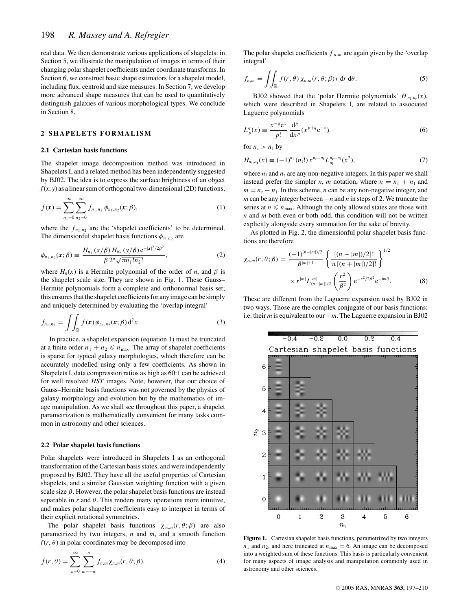real data. We then demonstrate various applications of shapelets: in Section 5, we illustrate the manipulation of images in terms of their changing polar shapelet coefficients under coordinate transforms. In Section 6, we construct basic shape estimators for a shapelet model, including flux, centroid and size measures. In Section 7, we develop more advanced shape measures that can be used to quantitatively distinguish galaxies of various morphological types. We conclude in Section 8.

## **2 SHAPELETS FORMALISM**

#### **2.1 Cartesian basis functions**

The shapelet image decomposition method was introduced in Shapelets I, and a related method has been independently suggested by BJ02. The idea is to express the surface brightness of an object  $f(x, y)$  as a linear sum of orthogonal two-dimensional (2D) functions,

$$
f(\mathbf{x}) = \sum_{n_1=0}^{\infty} \sum_{n_2=0}^{\infty} f_{n_1,n_2} \phi_{n_1,n_2}(\mathbf{x}; \beta),
$$
 (1)

where the  $f_{n_1,n_2}$  are the 'shapelet coefficients' to be determined. The dimensionful shapelet basis functions  $\phi_{n_1n_2}$  are

$$
\phi_{n_1,n_2}(\mathbf{x};\beta) \equiv \frac{H_{n_1}(x/\beta) H_{n_2}(y/\beta) e^{-|\mathbf{x}|^2/2\beta^2}}{\beta 2^n \sqrt{\pi n_1! n_2!}},
$$
\n(2)

where  $H_n(x)$  is a Hermite polynomial of the order of *n*, and  $\beta$  is the shapelet scale size. They are shown in Fig. 1. These Gauss– Hermite polynomials form a complete and orthonormal basis set; this ensures that the shapelet coefficients for any image can be simply and uniquely determined by evaluating the 'overlap integral'

$$
f_{n_1,n_2} = \iint_{\mathbb{R}} f(\mathbf{x}) \phi_{n_1,n_2}(\mathbf{x};\beta) d^2 x.
$$
 (3)

In practice, a shapelet expansion (equation 1) must be truncated at a finite order  $n_1 + n_2 \le n_{\text{max}}$ . The array of shapelet coefficients is sparse for typical galaxy morphologies, which therefore can be accurately modelled using only a few coefficients. As shown in Shapelets I, data compression ratios as high as 60:1 can be achieved for well resolved *HST* images. Note, however, that our choice of Gauss–Hermite basis functions was not governed by the physics of galaxy morphology and evolution but by the mathematics of image manipulation. As we shall see throughout this paper, a shapelet parametrization is mathematically convenient for many tasks common in astronomy and other sciences.

#### **2.2 Polar shapelet basis functions**

Polar shapelets were introduced in Shapelets I as an orthogonal transformation of the Cartesian basis states, and were independently proposed by BJ02. They have all the useful properties of Cartesian shapelets, and a similar Gaussian weighting function with a given scale size  $\beta$ . However, the polar shapelet basis functions are instead separable in  $r$  and  $\theta$ . This renders many operations more intuitive, and makes polar shapelet coefficients easy to interpret in terms of their explicit rotational symmetries.

The polar shapelet basis functions  $\chi_{n,m}(r,\theta;\beta)$  are also parametrized by two integers, *n* and *m*, and a smooth function  $f(r, \theta)$  in polar coordinates may be decomposed into

$$
f(r,\theta) = \sum_{n=0}^{\infty} \sum_{m=-n}^{n} f_{n,m} \chi_{n,m}(r,\theta;\beta).
$$
 (4)

The polar shapelet coefficients  $f_{n,m}$  are again given by the 'overlap integral'

$$
f_{n,m} = \iint_{\mathbb{R}} f(r,\theta) \,\chi_{n,m}(r,\theta;\beta) \, r \, dr \, d\theta. \tag{5}
$$

BJ02 showed that the 'polar Hermite polynomials'  $H_{n_1,n_r}(x)$ , which were described in Shapelets I, are related to associated Laguerre polynomials

$$
L_p^q(x) \equiv \frac{x^{-q}e^x}{p!} \frac{d^p}{dx^p} (x^{p+q}e^{-x})
$$
 (6)

for  $n_r > n_1$  by

$$
H_{n_1,n_r}(x) \equiv (-1)^{n_1} (n_1!) x^{n_r - n_1} L_{n_1}^{n_r - n_1}(x^2), \tag{7}
$$

where  $n_1$  and  $n_r$  are any non-negative integers. In this paper we shall instead prefer the simpler *n*, *m* notation, where  $n = n_r + n_1$  and  $m = n_r - n_l$ . In this scheme, *n* can be any non-negative integer, and *m* can be any integer between −*n* and *n* in steps of 2. We truncate the series at  $n \leq n_{\text{max}}$ . Although the only allowed states are those with *n* and *m* both even or both odd, this condition will not be written explicitly alongside every summation for the sake of brevity.

As plotted in Fig. 2, the dimensionful polar shapelet basis functions are therefore

$$
\chi_{n,m}(r,\theta;\beta) = \frac{(-1)^{(n-|m|)/2}}{\beta^{|m|+1}} \left\{ \frac{[(n-|m|)/2]!}{\pi[(n+|m|)/2]!} \right\}^{1/2}
$$

$$
\times r^{|m|} L^{|m|}_{(n-|m|)/2} \left(\frac{r^2}{\beta^2}\right) e^{-r^2/2\beta^2} e^{-im\theta}.
$$
(8)

These are different from the Laguerre expansion used by BJ02 in two ways. Those are the complex conjugate of our basis functions: i.e. their *m* is equivalent to our −*m*. The Laguerre expansion in BJ02



Figure 1. Cartesian shapelet basis functions, parametrized by two integers  $n_1$  and  $n_2$ , and here truncated at  $n_{\text{max}} = 6$ . An image can be decomposed into a weighted sum of these functions. This basis is particularly convenient for many aspects of image analysis and manipulation commonly used in astronomy and other sciences.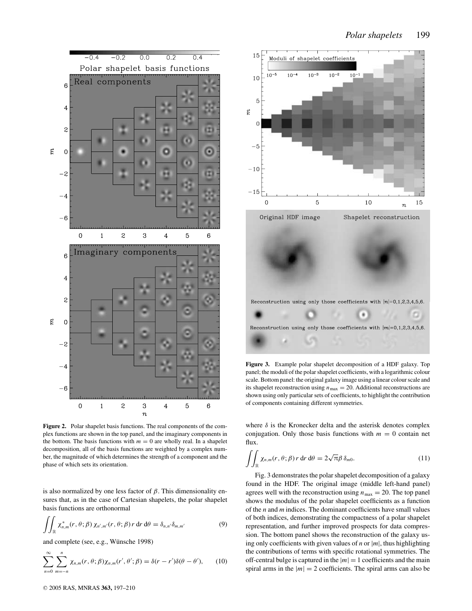

**Figure 2.** Polar shapelet basis functions. The real components of the complex functions are shown in the top panel, and the imaginary components in the bottom. The basis functions with  $m = 0$  are wholly real. In a shapelet decomposition, all of the basis functions are weighted by a complex number, the magnitude of which determines the strength of a component and the phase of which sets its orientation.

is also normalized by one less factor of  $\beta$ . This dimensionality ensures that, as in the case of Cartesian shapelets, the polar shapelet basis functions are orthonormal

$$
\iint_{\mathbb{R}} \chi_{n,m}^*(r,\theta;\beta) \chi_{n',m'}(r,\theta;\beta) r dr d\theta = \delta_{n,n'} \delta_{m,m'}
$$
 (9)

and complete (see, e.g., Wünsche 1998)

$$
\sum_{n=0}^{\infty} \sum_{m=-n}^{n} \chi_{n,m}(r,\theta;\beta) \chi_{n,m}(r',\theta';\beta) = \delta(r-r')\delta(\theta-\theta'), \qquad (10)
$$



**Figure 3.** Example polar shapelet decomposition of a HDF galaxy. Top panel; the moduli of the polar shapelet coefficients, with a logarithmic colour scale. Bottom panel: the original galaxy image using a linear colour scale and its shapelet reconstruction using  $n_{\text{max}} = 20$ . Additional reconstructions are shown using only particular sets of coefficients, to highlight the contribution of components containing different symmetries.

where  $\delta$  is the Kronecker delta and the asterisk denotes complex conjugation. Only those basis functions with  $m = 0$  contain net flux.

$$
\iint_{\mathbb{R}} \chi_{n,m}(r,\theta;\beta) r \,dr \,d\theta = 2\sqrt{\pi}\beta \,\delta_{m0}.\tag{11}
$$

Fig. 3 demonstrates the polar shapelet decomposition of a galaxy found in the HDF. The original image (middle left-hand panel) agrees well with the reconstruction using  $n_{\text{max}} = 20$ . The top panel shows the modulus of the polar shapelet coefficients as a function of the *n* and *m* indices. The dominant coefficients have small values of both indices, demonstrating the compactness of a polar shapelet representation, and further improved prospects for data compression. The bottom panel shows the reconstruction of the galaxy using only coefficients with given values of  $n$  or  $|m|$ , thus highlighting the contributions of terms with specific rotational symmetries. The off-central bulge is captured in the  $|m| = 1$  coefficients and the main spiral arms in the  $|m| = 2$  coefficients. The spiral arms can also be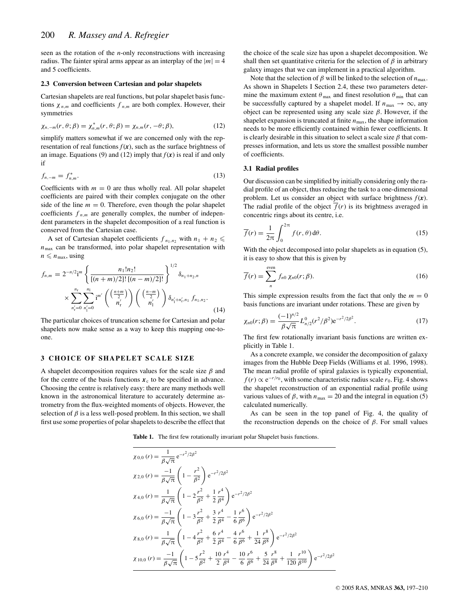seen as the rotation of the *n*-only reconstructions with increasing radius. The fainter spiral arms appear as an interplay of the  $|m| = 4$ and 5 coefficients.

## **2.3 Conversion between Cartesian and polar shapelets**

Cartesian shapelets are real functions, but polar shapelet basis functions  $\chi_{n,m}$  and coefficients  $f_{n,m}$  are both complex. However, their symmetries

$$
\chi_{n,-m}(r,\theta;\beta)=\chi_{n,m}^*(r,\theta;\beta)=\chi_{n,m}(r,-\theta;\beta),\qquad(12)
$$

simplify matters somewhat if we are concerned only with the representation of real functions  $f(x)$ , such as the surface brightness of an image. Equations (9) and (12) imply that  $f(x)$  is real if and only if

$$
f_{n,-m}=f_{n,m}^*.\tag{13}
$$

Coefficients with  $m = 0$  are thus wholly real. All polar shapelet coefficients are paired with their complex conjugate on the other side of the line  $m = 0$ . Therefore, even though the polar shapelet coefficients  $f_{n,m}$  are generally complex, the number of independent parameters in the shapelet decomposition of a real function is conserved from the Cartesian case.

A set of Cartesian shapelet coefficients  $f_{n_1,n_2}$  with  $n_1 + n_2 \leq$  $n_{\text{max}}$  can be transformed, into polar shapelet representation with  $n \leq n_{\text{max}}$ , using

$$
f_{n,m} = 2^{-n/2} \mathbf{i}^m \left\{ \frac{n_1! n_2!}{[(n+m)/2]! [(n-m)/2]!} \right\}^{1/2} \delta_{n_1+n_2,n}
$$

$$
\times \sum_{n'_i=0}^{n_r} \sum_{n'_i=0}^{n_1} \mathbf{i}^{m'} \left( \frac{\binom{n+m}{2}}{n'_i} \right) \left( \frac{\binom{n-m}{2}}{n'_1} \right) \delta_{n'_1+n'_r,n_1} f_{n_1,n_2}. \tag{14}
$$

The particular choices of truncation scheme for Cartesian and polar shapelets now make sense as a way to keep this mapping one-toone.

#### **3 CHOICE OF SHAPELET SCALE SIZE**

A shapelet decomposition requires values for the scale size  $\beta$  and for the centre of the basis functions  $x_c$  to be specified in advance. Choosing the centre is relatively easy: there are many methods well known in the astronomical literature to accurately determine astrometry from the flux-weighted moments of objects. However, the selection of  $\beta$  is a less well-posed problem. In this section, we shall first use some properties of polar shapelets to describe the effect that

the choice of the scale size has upon a shapelet decomposition. We shall then set quantitative criteria for the selection of  $\beta$  in arbitrary galaxy images that we can implement in a practical algorithm.

Note that the selection of  $\beta$  will be linked to the selection of  $n_{\text{max}}$ . As shown in Shapelets I Section 2.4, these two parameters determine the maximum extent  $\theta_{\text{max}}$  and finest resolution  $\theta_{\text{min}}$  that can be successfully captured by a shapelet model. If  $n_{\text{max}} \rightarrow \infty$ , any object can be represented using any scale size  $\beta$ . However, if the shapelet expansion is truncated at finite  $n_{\text{max}}$ , the shape information needs to be more efficiently contained within fewer coefficients. It is clearly desirable in this situation to select a scale size  $\beta$  that compresses information, and lets us store the smallest possible number of coefficients.

## **3.1 Radial profiles**

Our discussion can be simplified by initially considering only the radial profile of an object, thus reducing the task to a one-dimensional problem. Let us consider an object with surface brightness  $f(x)$ . The radial profile of the object  $\overline{f}(r)$  is its brightness averaged in concentric rings about its centre, i.e.

$$
\overline{f}(r) = \frac{1}{2\pi} \int_0^{2\pi} f(r,\theta) d\theta.
$$
 (15)

With the object decomposed into polar shapelets as in equation (5), it is easy to show that this is given by

$$
\overline{f}(r) = \sum_{n}^{\text{even}} f_{n0} \,\chi_{n0}(r;\beta). \tag{16}
$$

This simple expression results from the fact that only the  $m = 0$ basis functions are invariant under rotations. These are given by

$$
\chi_{n0}(r;\beta) = \frac{(-1)^{n/2}}{\beta\sqrt{\pi}}L_{n/2}^0(r^2/\beta^2)e^{-r^2/2\beta^2}.
$$
 (17)

The first few rotationally invariant basis functions are written explicitly in Table 1.

As a concrete example, we consider the decomposition of galaxy images from the Hubble Deep Fields (Williams et al. 1996, 1998). The mean radial profile of spiral galaxies is typically exponential,  $f(r) \propto e^{-r/r_0}$ , with some characteristic radius scale  $r_0$ . Fig. 4 shows the shapelet reconstruction of an exponential radial profile using various values of  $\beta$ , with  $n_{\text{max}} = 20$  and the integral in equation (5) calculated numerically.

As can be seen in the top panel of Fig. 4, the quality of the reconstruction depends on the choice of  $\beta$ . For small values

**Table 1.** The first few rotationally invariant polar Shapelet basis functions.

$$
\chi_{0,0}(r) = \frac{1}{\beta\sqrt{\pi}} e^{-r^2/2\beta^2}
$$
\n
$$
\chi_{2,0}(r) = \frac{-1}{\beta\sqrt{\pi}} \left(1 - \frac{r^2}{\beta^2}\right) e^{-r^2/2\beta^2}
$$
\n
$$
\chi_{4,0}(r) = \frac{1}{\beta\sqrt{\pi}} \left(1 - 2\frac{r^2}{\beta^2} + \frac{1}{2}\frac{r^4}{\beta^4}\right) e^{-r^2/2\beta^2}
$$
\n
$$
\chi_{6,0}(r) = \frac{-1}{\beta\sqrt{\pi}} \left(1 - 3\frac{r^2}{\beta^2} + \frac{3}{2}\frac{r^4}{\beta^4} - \frac{1}{6}\frac{r^6}{\beta^6}\right) e^{-r^2/2\beta^2}
$$
\n
$$
\chi_{8,0}(r) = \frac{1}{\beta\sqrt{\pi}} \left(1 - 4\frac{r^2}{\beta^2} + \frac{6}{2}\frac{r^4}{\beta^4} - \frac{4}{6}\frac{r^6}{\beta^6} + \frac{1}{24}\frac{r^8}{\beta^8}\right) e^{-r^2/2\beta^2}
$$
\n
$$
\chi_{10,0}(r) = \frac{-1}{\beta\sqrt{\pi}} \left(1 - 5\frac{r^2}{\beta^2} + \frac{10}{2}\frac{r^4}{\beta^4} - \frac{10}{6}\frac{r^6}{\beta^6} + \frac{5}{24}\frac{r^8}{\beta^8} + \frac{1}{120}\frac{r^{10}}{\beta^{10}}\right) e^{-r^2/2\beta^2}
$$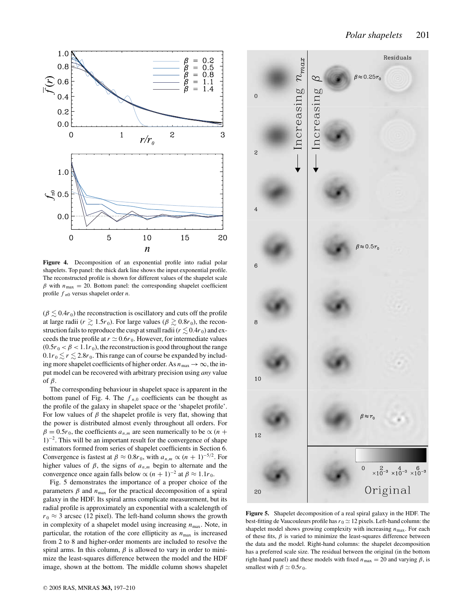

Figure 4. Decomposition of an exponential profile into radial polar shapelets. Top panel: the thick dark line shows the input exponential profile. The reconstructed profile is shown for different values of the shapelet scale  $β$  with  $n_{\text{max}} = 20$ . Bottom panel: the corresponding shapelet coefficient profile *f <sup>n</sup>*<sup>0</sup> versus shapelet order *n*.

 $(\beta \lesssim 0.4r_0)$  the reconstruction is oscillatory and cuts off the profile at large radii ( $r \gtrsim 1.5r_0$ ). For large values ( $\beta \gtrsim 0.8r_0$ ), the reconstruction fails to reproduce the cusp at small radii ( $r \lesssim 0.4 r_0$ ) and exceeds the true profile at  $r \simeq 0.6r_0$ . However, for intermediate values  $(0.5r_0 < \beta < 1.1r_0)$ , the reconstruction is good throughout the range  $0.1r_0 \lesssim r \lesssim 2.8r_0$ . This range can of course be expanded by including more shapelet coefficients of higher order. As  $n_{\text{max}} \rightarrow \infty$ , the input model can be recovered with arbitrary precision using *any* value of  $\beta$ .

The corresponding behaviour in shapelet space is apparent in the bottom panel of Fig. 4. The  $f_{n,0}$  coefficients can be thought as the profile of the galaxy in shapelet space or the 'shapelet profile'. For low values of  $\beta$  the shapelet profile is very flat, showing that the power is distributed almost evenly throughout all orders. For  $\beta = 0.5r_0$ , the coefficients  $a_{n,m}$  are seen numerically to be  $\alpha$  (*n* + 1)−2. This will be an important result for the convergence of shape estimators formed from series of shapelet coefficients in Section 6. Convergence is fastest at  $\beta \approx 0.8r_0$ , with  $a_{n,m} \propto (n+1)^{-5/2}$ . For higher values of  $\beta$ , the signs of  $a_{n,m}$  begin to alternate and the convergence once again falls below  $\propto (n + 1)^{-2}$  at  $\beta \approx 1.1r_0$ .

Fig. 5 demonstrates the importance of a proper choice of the parameters  $\beta$  and  $n_{\text{max}}$  for the practical decomposition of a spiral galaxy in the HDF. Its spiral arms complicate measurement, but its radial profile is approximately an exponential with a scalelength of  $r_0 \approx 3$  arcsec (12 pixel). The left-hand column shows the growth in complexity of a shapelet model using increasing  $n_{\text{max}}$ . Note, in particular, the rotation of the core ellipticity as  $n_{\text{max}}$  is increased from 2 to 8 and higher-order moments are included to resolve the spiral arms. In this column,  $\beta$  is allowed to vary in order to minimize the least-squares difference between the model and the HDF image, shown at the bottom. The middle column shows shapelet



**Figure 5.** Shapelet decomposition of a real spiral galaxy in the HDF. The best-fitting de Vaucouleurs profile has  $r_0 \simeq 12$  pixels. Left-hand column: the shapelet model shows growing complexity with increasing  $n_{\text{max}}$ . For each of these fits,  $\beta$  is varied to minimize the least-squares difference between the data and the model. Right-hand columns: the shapelet decomposition has a preferred scale size. The residual between the original (in the bottom right-hand panel) and these models with fixed  $n_{\text{max}} = 20$  and varying  $\beta$ , is smallest with  $\beta \simeq 0.5r_0$ .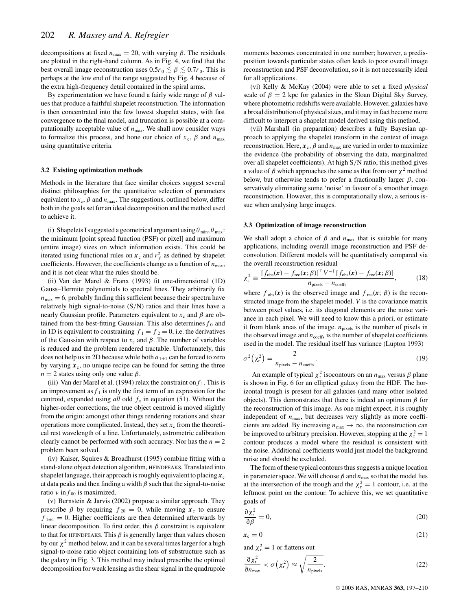decompositions at fixed  $n_{\text{max}} = 20$ , with varying  $\beta$ . The residuals are plotted in the right-hand column. As in Fig. 4, we find that the best overall image reconstruction uses  $0.5r_0 \lesssim \beta \lesssim 0.7r_0$ . This is perhaps at the low end of the range suggested by Fig. 4 because of the extra high-frequency detail contained in the spiral arms.

By experimentation we have found a fairly wide range of  $\beta$  values that produce a faithful shapelet reconstruction. The information is then concentrated into the few lowest shapelet states, with fast convergence to the final model, and truncation is possible at a computationally acceptable value of  $n_{\text{max}}$ . We shall now consider ways to formalize this process, and hone our choice of  $x_c$ ,  $\beta$  and  $n_{\text{max}}$ using quantitative criteria.

#### **3.2 Existing optimization methods**

Methods in the literature that face similar choices suggest several distinct philosophies for the quantitative selection of parameters equivalent to  $x_c$ ,  $\beta$  and  $n_{\text{max}}$ . The suggestions, outlined below, differ both in the goals set for an ideal decomposition and the method used to achieve it.

(i) Shapelets I suggested a geometrical argument using  $\theta_{\min}, \theta_{\max}$ . the minimum [point spread function (PSF) or pixel] and maximum (entire image) sizes on which information exists. This could be iterated using functional rules on  $x_c$  and  $r_f^2$  as defined by shapelet coefficients. However, the coefficients change as a function of  $n_{\text{max}}$ , and it is not clear what the rules should be.

(ii) Van der Marel & Franx (1993) fit one-dimensional (1D) Gauss–Hermite polynomials to spectral lines. They arbitrarily fix  $n_{\text{max}} = 6$ , probably finding this sufficient because their spectra have relatively high signal-to-noise  $(S/N)$  ratios and their lines have a nearly Gaussian profile. Parameters equivalent to  $x_c$  and  $\beta$  are obtained from the best-fitting Gaussian. This also determines  $f_0$  and in 1D is equivalent to constraining  $f_1 = f_2 = 0$ , i.e. the derivatives of the Gaussian with respect to  $x_c$  and  $\beta$ . The number of variables is reduced and the problem rendered tractable. Unfortunately, this does not help us in 2D because while both  $a_{1\pm 1}$  can be forced to zero by varying  $x_c$ , no unique recipe can be found for setting the three  $n = 2$  states using only one value  $\beta$ .

(iii) Van der Marel et al. (1994) relax the constraint on  $f_1$ . This is an improvement as  $f_1$  is only the first term of an expression for the centroid, expanded using *all* odd  $f_n$  in equation (51). Without the higher-order corrections, the true object centroid is moved slightly from the origin: amongst other things rendering rotations and shear operations more complicated. Instead, they set  $x_c$  from the theoretical rest wavelength of a line. Unfortunately, astrometric calibration clearly cannot be performed with such accuracy. Nor has the  $n = 2$ problem been solved.

(iv) Kaiser, Squires & Broadhurst (1995) combine fitting with a stand-alone object detection algorithm, HFINDPEAKS. Translated into shapelet language, their approach is roughly equivalent to placing  $x_c$ at data peaks and then finding a width  $\beta$  such that the signal-to-noise ratio  $v$  in  $f_{00}$  is maximized.

(v) Bernstein & Jarvis (2002) propose a similar approach. They prescribe  $\beta$  by requiring  $f_{20} = 0$ , while moving  $x_c$  to ensure  $f_{1\pm 1} = 0$ . Higher coefficients are then determined afterwards by linear decomposition. To first order, this  $\beta$  constraint is equivalent to that for HFINDPEAKS. This  $\beta$  is generally larger than values chosen by our  $\chi^2$  method below, and it can be several times larger for a high signal-to-noise ratio object containing lots of substructure such as the galaxy in Fig. 3. This method may indeed prescribe the optimal decomposition for weak lensing as the shear signal in the quadrupole

moments becomes concentrated in one number; however, a predisposition towards particular states often leads to poor overall image reconstruction and PSF deconvolution, so it is not necessarily ideal for all applications.

(vi) Kelly & McKay (2004) were able to set a fixed *physical* scale of  $\beta = 2$  kpc for galaxies in the Sloan Digital Sky Survey, where photometric redshifts were available. However, galaxies have a broad distribution of physical sizes, and it may in fact become more difficult to interpret a shapelet model derived using this method.

(vii) Marshall (in preparation) describes a fully Bayesian approach to applying the shapelet transform in the context of image reconstruction. Here,  $x_c$ ,  $\beta$  and  $n_{\text{max}}$  are varied in order to maximize the evidence (the probability of observing the data, marginalized over all shapelet coefficients). At high S/N ratio, this method gives a value of  $\beta$  which approaches the same as that from our  $\chi^2$  method below, but otherwise tends to prefer a fractionally larger  $\beta$ , conservatively eliminating some 'noise' in favour of a smoother image reconstruction. However, this is computationally slow, a serious issue when analysing large images.

#### **3.3 Optimization of image reconstruction**

We shall adopt a choice of  $\beta$  and  $n_{\text{max}}$  that is suitable for many applications, including overall image reconstruction and PSF deconvolution. Different models will be quantitatively compared via the overall reconstruction residual

$$
\chi_{\rm r}^2 \equiv \frac{\left[f_{\rm obs}(\mathbf{x}) - f_{\rm rec}(\mathbf{x}; \beta)\right]^{\rm T} V^{-1} \left[f_{\rm obs}(\mathbf{x}) - f_{\rm rec}(\mathbf{x}; \beta)\right]}{n_{\rm pixels} - n_{\rm coeffs}},\tag{18}
$$

where  $f_{obs}(x)$  is the observed image and  $f_{rec}(x; \beta)$  is the reconstructed image from the shapelet model. *V* is the covariance matrix between pixel values, i.e. its diagonal elements are the noise variance in each pixel. We will need to know this a priori, or estimate it from blank areas of the image. *n*pixels is the number of pixels in the observed image and  $n_{\text{coeffs}}$  is the number of shapelet coefficients used in the model. The residual itself has variance (Lupton 1993)

$$
\sigma^2(\chi_r^2) = \frac{2}{n_{\text{pixels}} - n_{\text{coeffs}}}.
$$
\n(19)

An example of typical  $\chi^2_r$  isocontours on an  $n_{\text{max}}$  versus  $\beta$  plane is shown in Fig. 6 for an elliptical galaxy from the HDF. The horizontal trough is present for all galaxies (and many other isolated objects). This demonstrates that there is indeed an optimum  $\beta$  for the reconstruction of this image. As one might expect, it is roughly independent of  $n_{\text{max}}$ , but decreases very slightly as more coefficients are added. By increasing  $n_{\text{max}} \rightarrow \infty$ , the reconstruction can be improved to arbitrary precision. However, stopping at the  $\chi^2 = 1$ contour produces a model where the residual is consistent with the noise. Additional coefficients would just model the background noise and should be excluded.

The form of these typical contours thus suggests a unique location in parameter space. We will choose  $\beta$  and  $n_{\text{max}}$  so that the model lies at the intersection of the trough and the  $\chi^2_r = 1$  contour, i.e. at the leftmost point on the contour. To achieve this, we set quantitative goals of

$$
\frac{\partial \chi_{\rm r}^2}{\partial \beta} = 0,\tag{20}
$$

$$
x_{\rm c} = 0 \tag{21}
$$

and  $\chi_{\rm r}^2 = 1$  or flattens out

$$
\frac{\partial \chi_{\rm r}^2}{\partial n_{\rm max}} < \sigma \left( \chi_{\rm r}^2 \right) \approx \sqrt{\frac{2}{n_{\rm pixels}}}.\tag{22}
$$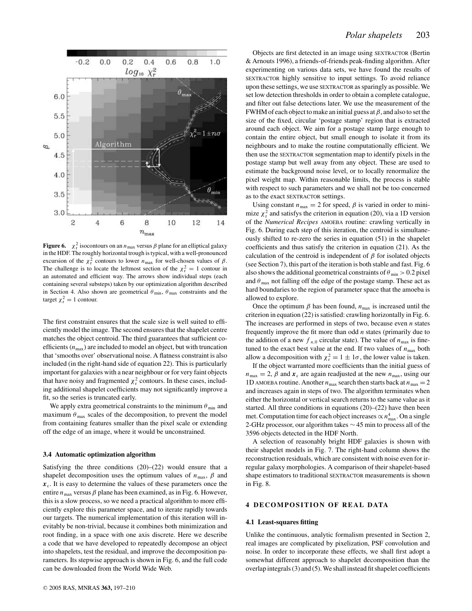

**Figure 6.**  $\chi^2$  isocontours on an  $n_{\text{max}}$  versus  $\beta$  plane for an elliptical galaxy in the HDF. The roughly horizontal trough is typical, with a well-pronounced excursion of the  $\chi^2$  contours to lower  $n_{\text{max}}$  for well-chosen values of  $\beta$ . The challenge is to locate the leftmost section of the  $\chi^2_r = 1$  contour in an automated and efficient way. The arrows show individual steps (each containing several substeps) taken by our optimization algorithm described in Section 4. Also shown are geometrical  $\theta_{\min}$ ,  $\theta_{\max}$  constraints and the target  $\chi^2_r = 1$  contour.

The first constraint ensures that the scale size is well suited to efficiently model the image. The second ensures that the shapelet centre matches the object centroid. The third guarantees that sufficient coefficients  $(n_{\text{max}})$  are included to model an object, but with truncation that 'smooths over' observational noise. A flatness constraint is also included (in the right-hand side of equation 22). This is particularly important for galaxies with a near neighbour or for very faint objects that have noisy and fragmented  $\chi^2$  contours. In these cases, including additional shapelet coefficients may not significantly improve a fit, so the series is truncated early.

We apply extra geometrical constraints to the minimum  $\theta_{\min}$  and maximum  $\theta_{\text{max}}$  scales of the decomposition, to prevent the model from containing features smaller than the pixel scale or extending off the edge of an image, where it would be unconstrained.

#### **3.4 Automatic optimization algorithm**

Satisfying the three conditions  $(20)$ – $(22)$  would ensure that a shapelet decomposition uses the optimum values of  $n_{\text{max}}$ ,  $\beta$  and  $x_c$ . It is easy to determine the values of these parameters once the entire  $n_{\text{max}}$  versus  $\beta$  plane has been examined, as in Fig. 6. However, this is a slow process, so we need a practical algorithm to more efficiently explore this parameter space, and to iterate rapidly towards our targets. The numerical implementation of this iteration will inevitably be non-trivial, because it combines both minimization and root finding, in a space with one axis discrete. Here we describe a code that we have developed to repeatedly decompose an object into shapelets, test the residual, and improve the decomposition parameters. Its stepwise approach is shown in Fig. 6, and the full code can be downloaded from the World Wide Web.

Objects are first detected in an image using SEXTRACTOR (Bertin & Arnouts 1996), a friends-of-friends peak-finding algorithm. After experimenting on various data sets, we have found the results of SEXTRACTOR highly sensitive to input settings. To avoid reliance upon these settings, we use SEXTRACTOR as sparingly as possible. We set low detection thresholds in order to obtain a complete catalogue, and filter out false detections later. We use the measurement of the FWHM of each object to make an initial guess at  $\beta$ , and also to set the size of the fixed, circular 'postage stamp' region that is extracted around each object. We aim for a postage stamp large enough to contain the entire object, but small enough to isolate it from its neighbours and to make the routine computationally efficient. We then use the SEXTRACTOR segmentation map to identify pixels in the postage stamp but well away from any object. These are used to estimate the background noise level, or to locally renormalize the pixel weight map. Within reasonable limits, the process is stable with respect to such parameters and we shall not be too concerned as to the exact SEXTRACTOR settings.

Using constant  $n_{\text{max}} = 2$  for speed,  $\beta$  is varied in order to minimize  $\chi^2$  and satisfys the criterion in equation (20), via a 1D version of the *Numerical Recipes* AMOEBA routine: crawling vertically in Fig. 6. During each step of this iteration, the centroid is simultaneously shifted to re-zero the series in equation (51) in the shapelet coefficients and thus satisfy the criterion in equation (21). As the calculation of the centroid is independent of  $\beta$  for isolated objects (see Section 7), this part of the iteration is both stable and fast. Fig. 6 also shows the additional geometrical constraints of  $\theta_{\min} > 0.2$  pixel and  $\theta_{\text{max}}$  not falling off the edge of the postage stamp. These act as hard boundaries to the region of parameter space that the amoeba is allowed to explore.

Once the optimum  $\beta$  has been found,  $n_{\text{max}}$  is increased until the criterion in equation (22) is satisfied: crawling horizontally in Fig. 6. The increases are performed in steps of two, because even *n* states frequently improve the fit more than odd *n* states (primarily due to the addition of a new  $f_{n,0}$  circular state). The value of  $n_{\text{max}}$  is finetuned to the exact best value at the end. If two values of  $n_{\text{max}}$  both allow a decomposition with  $\chi^2 = 1 \pm 1\sigma$ , the lower value is taken.

If the object warranted more coefficients than the initial guess of  $n_{\text{max}} = 2$ ,  $\beta$  and  $\mathbf{x}_c$  are again readjusted at the new  $n_{\text{max}}$ , using our 1D AMOEBA routine. Another  $n_{\text{max}}$  search then starts back at  $n_{\text{max}} = 2$ and increases again in steps of two. The algorithm terminates when either the horizontal or vertical search returns to the same value as it started. All three conditions in equations (20)–(22) have then been met. Computation time for each object increases  $\propto n_{\rm max}^4$ . On a single 2-GHz processor, our algorithm takes ∼ 45 min to process all of the 3596 objects detected in the HDF North.

A selection of reasonably bright HDF galaxies is shown with their shapelet models in Fig. 7. The right-hand column shows the reconstruction residuals, which are consistent with noise even for irregular galaxy morphologies. A comparison of their shapelet-based shape estimators to traditional SEXTRACTOR measurements is shown in Fig. 8.

## **4 DECOMPOSITION OF REAL DATA**

#### **4.1 Least-squares fitting**

Unlike the continuous, analytic formalism presented in Section 2, real images are complicated by pixelization, PSF convolution and noise. In order to incorporate these effects, we shall first adopt a somewhat different approach to shapelet decomposition than the overlap integrals (3) and (5). We shall instead fit shapelet coefficients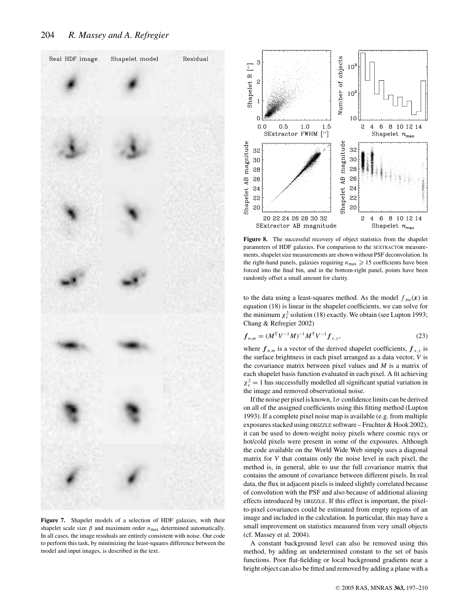

**Figure 7.** Shapelet models of a selection of HDF galaxies, with their shapelet scale size  $\beta$  and maximum order  $n_{\text{max}}$  determined automatically. In all cases, the image residuals are entirely consistent with noise. Our code to perform this task, by minimizing the least-squares difference between the model and input images, is described in the text.



**Figure 8.** The successful recovery of object statistics from the shapelet parameters of HDF galaxies. For comparison to the SEXTRACTOR measurements, shapelet size measurements are shown without PSF deconvolution. In the right-hand panels, galaxies requiring  $n_{\text{max}} \geq 15$  coefficients have been forced into the final bin, and in the bottom-right panel, points have been randomly offset a small amount for clarity.

to the data using a least-squares method. As the model  $f_{\text{rec}}(\mathbf{x})$  in equation (18) is linear in the shapelet coefficients, we can solve for the minimum  $\chi^2$  solution (18) exactly. We obtain (see Lupton 1993; Chang & Refregier 2002)

$$
\boldsymbol{f}_{n,m} = (M^{\mathrm{T}} V^{-1} M)^{-1} M^{\mathrm{T}} V^{-1} \boldsymbol{f}_{x,y},\tag{23}
$$

where  $f_{n,m}$  is a vector of the derived shapelet coefficients,  $f_{x,y}$  is the surface brightness in each pixel arranged as a data vector, *V* is the covariance matrix between pixel values and *M* is a matrix of each shapelet basis function evaluated in each pixel. A fit achieving  $\chi_r^2 = 1$  has successfully modelled all significant spatial variation in the image and removed observational noise.

If the noise per pixel is known,  $1\sigma$  confidence limits can be derived on all of the assigned coefficients using this fitting method (Lupton 1993). If a complete pixel noise map is available (e.g. from multiple exposures stacked using DRIZZLE software – Fruchter & Hook 2002), it can be used to down-weight noisy pixels where cosmic rays or hot/cold pixels were present in some of the exposures. Although the code available on the World Wide Web simply uses a diagonal matrix for *V* that contains only the noise level in each pixel, the method is, in general, able to use the full covariance matrix that contains the amount of covariance between different pixels. In real data, the flux in adjacent pixels is indeed slightly correlated because of convolution with the PSF and also because of additional aliasing effects introduced by DRIZZLE. If this effect is important, the pixelto-pixel covariances could be estimated from empty regions of an image and included in the calculation. In particular, this may have a small improvement on statistics measured from very small objects (cf. Massey et al. 2004).

A constant background level can also be removed using this method, by adding an undetermined constant to the set of basis functions. Poor flat-fielding or local background gradients near a bright object can also be fitted and removed by adding a plane with a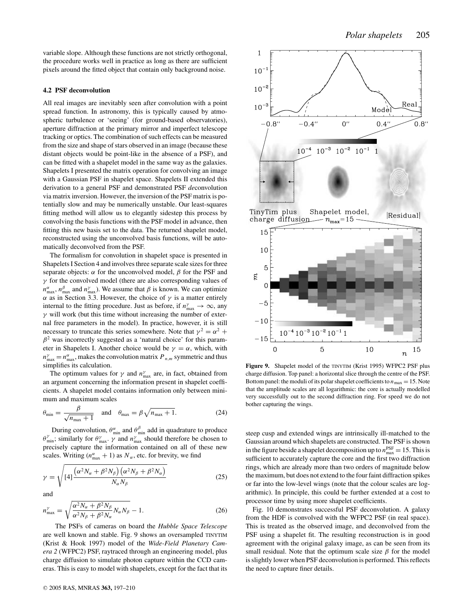variable slope. Although these functions are not strictly orthogonal, the procedure works well in practice as long as there are sufficient pixels around the fitted object that contain only background noise.

## **4.2 PSF deconvolution**

All real images are inevitably seen after convolution with a point spread function. In astronomy, this is typically caused by atmospheric turbulence or 'seeing' (for ground-based observatories), aperture diffraction at the primary mirror and imperfect telescope tracking or optics. The combination of such effects can be measured from the size and shape of stars observed in an image (because these distant objects would be point-like in the absence of a PSF), and can be fitted with a shapelet model in the same way as the galaxies. Shapelets I presented the matrix operation for convolving an image with a Gaussian PSF in shapelet space. Shapelets II extended this derivation to a general PSF and demonstrated PSF *de*convolution via matrix inversion. However, the inversion of the PSF matrix is potentially slow and may be numerically unstable. Our least-squares fitting method will allow us to elegantly sidestep this process by convolving the basis functions with the PSF model in advance, then fitting this new basis set to the data. The returned shapelet model, reconstructed using the unconvolved basis functions, will be automatically deconvolved from the PSF.

The formalism for convolution in shapelet space is presented in Shapelets I Section 4 and involves three separate scale sizes for three separate objects:  $\alpha$  for the unconvolved model,  $\beta$  for the PSF and  $\gamma$  for the convolved model (there are also corresponding values of  $m_{\text{max}}^{\alpha}$ ,  $n_{\text{max}}^{\beta}$  and  $n_{\text{max}}^{\gamma}$ ). We assume that  $\beta$  is known. We can optimize α as in Section 3.3. However, the choice of γ is a matter entirely internal to the fitting procedure. Just as before, if  $n_{\text{max}}^{\gamma} \to \infty$ , any  $\gamma$  will work (but this time without increasing the number of external free parameters in the model). In practice, however, it is still necessary to truncate this series somewhere. Note that  $\gamma^2 = \alpha^2 + \beta^2$  $\beta^2$  was incorrectly suggested as a 'natural choice' for this parameter in Shapelets I. Another choice would be  $\gamma = \alpha$ , which, with  $n_{\max}^{\gamma} = n_{\max}^{\alpha}$ , makes the convolution matrix  $P_{n,m}$  symmetric and thus simplifies its calculation.

The optimum values for  $\gamma$  and  $n_{\text{max}}^{\gamma}$  are, in fact, obtained from an argument concerning the information present in shapelet coefficients. A shapelet model contains information only between minimum and maximum scales

$$
\theta_{\min} = \frac{\beta}{\sqrt{n_{\max} + 1}} \quad \text{and} \quad \theta_{\max} = \beta \sqrt{n_{\max} + 1}.
$$
 (24)

During convolution,  $\theta_{\min}^{\alpha}$  and  $\theta_{\min}^{\beta}$  add in quadrature to produce  $\theta_{\min}^{\gamma}$ ; similarly for  $\theta_{\max}^{\gamma}$ ,  $\gamma$  and  $n_{\max}^{\gamma}$  should therefore be chosen to precisely capture the information contained on all of these new scales. Writing  $(n_{\text{max}}^{\alpha} + 1)$  as  $N_{\alpha}$ , etc. for brevity, we find

$$
\gamma = \sqrt{\left[4\right] \frac{\left(\alpha^2 N_\alpha + \beta^2 N_\beta\right) \left(\alpha^2 N_\beta + \beta^2 N_\alpha\right)}{N_\alpha N_\beta}}
$$
(25)

and

$$
n_{\max}^{\gamma} = \sqrt{\frac{\alpha^2 N_{\alpha} + \beta^2 N_{\beta}}{\alpha^2 N_{\beta} + \beta^2 N_{\alpha}} N_{\alpha} N_{\beta}} - 1.
$$
 (26)

The PSFs of cameras on board the *Hubble Space Telescope* are well known and stable. Fig. 9 shows an oversampled TINYTIM (Krist & Hook 1997) model of the *Wide-Field Planetary Camera 2* (WFPC2) PSF, raytraced through an engineering model, plus charge diffusion to simulate photon capture within the CCD cameras. This is easy to model with shapelets, except for the fact that its



**Figure 9.** Shapelet model of the TINYTIM (Krist 1995) WFPC2 PSF plus charge diffusion. Top panel: a horizontal slice through the centre of the PSF. Bottom panel: the moduli of its polar shapelet coefficients to  $n_{\text{max}} = 15$ . Note that the amplitude scales are all logarithmic: the core is actually modelled very successfully out to the second diffraction ring. For speed we do not bother capturing the wings.

steep cusp and extended wings are intrinsically ill-matched to the Gaussian around which shapelets are constructed. The PSF is shown in the figure beside a shapelet decomposition up to  $n_{\text{max}}^{\text{PSF}} = 15$ . This is sufficient to accurately capture the core and the first two diffraction rings, which are already more than two orders of magnitude below the maximum, but does not extend to the four faint diffraction spikes or far into the low-level wings (note that the colour scales are logarithmic). In principle, this could be further extended at a cost to processor time by using more shapelet coefficients.

Fig. 10 demonstrates successful PSF deconvolution. A galaxy from the HDF is convolved with the WFPC2 PSF (in real space). This is treated as the observed image, and deconvolved from the PSF using a shapelet fit. The resulting reconstruction is in good agreement with the original galaxy image, as can be seen from its small residual. Note that the optimum scale size  $\beta$  for the model is slightly lower when PSF deconvolution is performed. This reflects the need to capture finer details.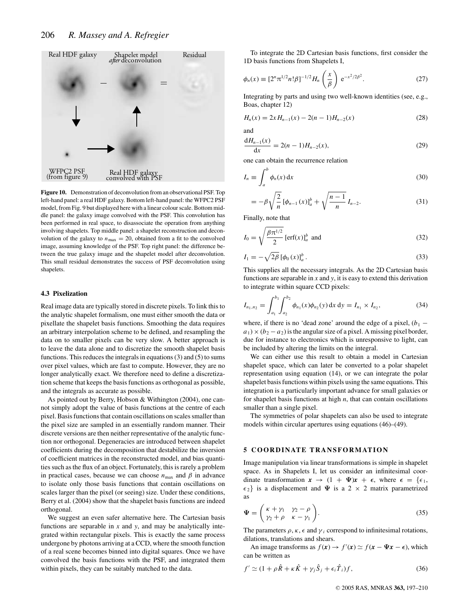

**Figure 10.** Demonstration of deconvolution from an observational PSF. Top left-hand panel: a real HDF galaxy. Bottom left-hand panel: the WFPC2 PSF model, from Fig. 9 but displayed here with a linear colour scale. Bottom middle panel: the galaxy image convolved with the PSF. This convolution has been performed in real space, to disassociate the operation from anything involving shapelets. Top middle panel: a shapelet reconstruction and deconvolution of the galaxy to  $n_{\text{max}} = 20$ , obtained from a fit to the convolved image, assuming knowledge of the PSF. Top right panel: the difference between the true galaxy image and the shapelet model after deconvolution. This small residual demonstrates the success of PSF deconvolution using shapelets.

## **4.3 Pixelization**

Real image data are typically stored in discrete pixels. To link this to the analytic shapelet formalism, one must either smooth the data or pixellate the shapelet basis functions. Smoothing the data requires an arbitrary interpolation scheme to be defined, and resampling the data on to smaller pixels can be very slow. A better approach is to leave the data alone and to discretize the smooth shapelet basis functions. This reduces the integrals in equations (3) and (5) to sums over pixel values, which are fast to compute. However, they are no longer analytically exact. We therefore need to define a discretization scheme that keeps the basis functions as orthogonal as possible, and the integrals as accurate as possible.

As pointed out by Berry, Hobson & Withington (2004), one cannot simply adopt the value of basis functions at the centre of each pixel. Basis functions that contain oscillations on scales smaller than the pixel size are sampled in an essentially random manner. Their discrete versions are then neither representative of the analytic function nor orthogonal. Degeneracies are introduced between shapelet coefficients during the decomposition that destabilize the inversion of coefficient matrices in the reconstructed model, and bias quantities such as the flux of an object. Fortunately, this is rarely a problem in practical cases, because we can choose  $n_{\text{max}}$  and  $\beta$  in advance to isolate only those basis functions that contain oscillations on scales larger than the pixel (or seeing) size. Under these conditions, Berry et al. (2004) show that the shapelet basis functions are indeed orthogonal.

We suggest an even safer alternative here. The Cartesian basis functions are separable in *x* and *y*, and may be analytically integrated within rectangular pixels. This is exactly the same process undergone by photons arriving at a CCD, where the smooth function of a real scene becomes binned into digital squares. Once we have convolved the basis functions with the PSF, and integrated them within pixels, they can be suitably matched to the data.

To integrate the 2D Cartesian basis functions, first consider the 1D basis functions from Shapelets I,

$$
\phi_n(x) \equiv [2^n \pi^{1/2} n! \beta]^{-1/2} H_n\left(\frac{x}{\beta}\right) e^{-x^2/2\beta^2}.
$$
 (27)

Integrating by parts and using two well-known identities (see, e.g., Boas, chapter 12)

$$
H_n(x) = 2x H_{n-1}(x) - 2(n-1)H_{n-2}(x)
$$
\n(28)

and

$$
\frac{dH_{n-1}(x)}{dx} = 2(n-1)H_{n-2}(x),
$$
\n(29)

one can obtain the recurrence relation

$$
I_n \equiv \int_a^b \phi_n(x) \, \mathrm{d}x \tag{30}
$$

$$
= -\beta \sqrt{\frac{2}{n}} \left[ \phi_{n-1} (x) \right]_a^b + \sqrt{\frac{n-1}{n}} I_{n-2}.
$$
 (31)

Finally, note that

$$
I_0 = \sqrt{\frac{\beta \pi^{1/2}}{2}} \left[ erf(x) \right]_a^b \text{ and } \tag{32}
$$

$$
I_1 = -\sqrt{2\beta} \left[ \phi_0(x) \right]_a^b. \tag{33}
$$

This supplies all the necessary integrals. As the 2D Cartesian basis functions are separable in *x* and *y*, it is easy to extend this derivation to integrate within square CCD pixels:

$$
I_{n_1,n_2} = \int_{a_1}^{b_1} \int_{a_2}^{b_2} \phi_{n_1}(x) \phi_{n_2}(y) dx dy = I_{n_1} \times I_{n_2},
$$
 (34)

where, if there is no 'dead zone' around the edge of a pixel,  $(b_1$  $a_1$ ) × ( $b_2 - a_2$ ) is the angular size of a pixel. A missing pixel border, due for instance to electronics which is unresponsive to light, can be included by altering the limits on the integral.

We can either use this result to obtain a model in Cartesian shapelet space, which can later be converted to a polar shapelet representation using equation (14), or we can integrate the polar shapelet basis functions within pixels using the same equations. This integration is a particularly important advance for small galaxies or for shapelet basis functions at high *n*, that can contain oscillations smaller than a single pixel.

The symmetries of polar shapelets can also be used to integrate models within circular apertures using equations (46)–(49).

#### **5 COORDINATE TRANSFORMATION**

Image manipulation via linear transformations is simple in shapelet space. As in Shapelets I, let us consider an infinitesimal coordinate transformation  $x \to (1 + \Psi)x + \epsilon$ , where  $\epsilon = {\epsilon_1}$ ,  $\epsilon_2$  is a displacement and  $\Psi$  is a 2 × 2 matrix parametrized as

$$
\Psi = \begin{pmatrix} \kappa + \gamma_1 & \gamma_2 - \rho \\ \gamma_2 + \rho & \kappa - \gamma_1 \end{pmatrix} . \tag{35}
$$

The parameters  $\rho$ ,  $\kappa$ ,  $\epsilon$  and  $\gamma$  *i* correspond to infinitesimal rotations, dilations, translations and shears.

An image transforms as  $f(\mathbf{x}) \to f'(\mathbf{x}) \simeq f(\mathbf{x} - \Psi \mathbf{x} - \epsilon)$ , which can be written as

$$
f' \simeq (1 + \rho \hat{R} + \kappa \hat{K} + \gamma_j \hat{S}_j + \epsilon_i \hat{T}_i) f, \tag{36}
$$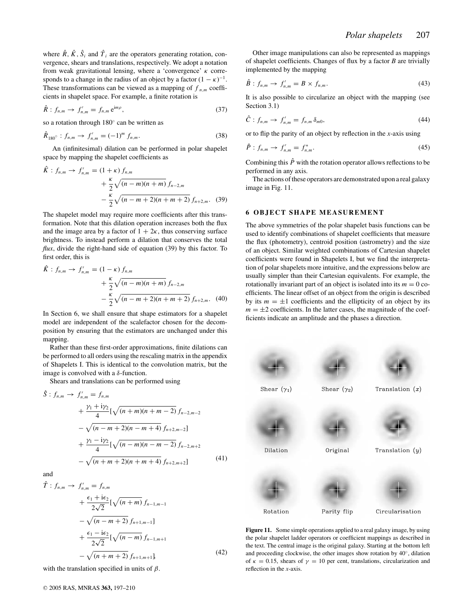where  $\hat{R}$ ,  $\hat{K}$ ,  $\hat{S}_i$  and  $\hat{T}_i$  are the operators generating rotation, convergence, shears and translations, respectively. We adopt a notation from weak gravitational lensing, where a 'convergence'  $\kappa$  corresponds to a change in the radius of an object by a factor  $(1 - \kappa)^{-1}$ . These transformations can be viewed as a mapping of  $f_{n,m}$  coefficients in shapelet space. For example, a finite rotation is

$$
\hat{R}: f_{n,m} \to f'_{n,m} = f_{n,m} e^{\mathrm{i}m\rho},\tag{37}
$$

so a rotation through 180◦ can be written as

$$
\hat{R}_{180^{\circ}} : f_{n,m} \to f'_{n,m} = (-1)^m f_{n,m}.
$$
\n(38)

An (infinitesimal) dilation can be performed in polar shapelet space by mapping the shapelet coefficients as

$$
\hat{K}: f_{n,m} \to f'_{n,m} = (1+\kappa) f_{n,m} \n+ \frac{\kappa}{2} \sqrt{(n-m)(n+m)} f_{n-2,m} \n- \frac{\kappa}{2} \sqrt{(n-m+2)(n+m+2)} f_{n+2,m}.
$$
\n(39)

The shapelet model may require more coefficients after this transformation. Note that this dilation operation increases both the flux and the image area by a factor of  $1 + 2\kappa$ , thus conserving surface brightness. To instead perform a dilation that conserves the total *flux*, divide the right-hand side of equation (39) by this factor. To first order, this is

$$
\hat{K}: f_{n,m} \to f'_{n,m} = (1 - \kappa) f_{n,m} \n+ \frac{\kappa}{2} \sqrt{(n - m)(n + m)} f_{n-2,m} \n- \frac{\kappa}{2} \sqrt{(n - m + 2)(n + m + 2)} f_{n+2,m}.
$$
\n(40)

In Section 6, we shall ensure that shape estimators for a shapelet model are independent of the scalefactor chosen for the decomposition by ensuring that the estimators are unchanged under this mapping.

Rather than these first-order approximations, finite dilations can be performed to all orders using the rescaling matrix in the appendix of Shapelets I. This is identical to the convolution matrix, but the image is convolved with a δ-function.

Shears and translations can be performed using

$$
\hat{S}: f_{n,m} \to f'_{n,m} = f_{n,m}
$$
\n
$$
+ \frac{\gamma_1 + i\gamma_2}{4} [\sqrt{(n+m)(n+m-2)} f_{n-2,m-2} - \sqrt{(n-m+2)(n-m+4)} f_{n+2,m-2}] + \frac{\gamma_1 - i\gamma_2}{4} [\sqrt{(n-m)(n-m-2)} f_{n-2,m+2} - \sqrt{(n+m+2)(n+m+4)} f_{n+2,m+2}] \tag{41}
$$

and

$$
\hat{T}: f_{n,m} \to f'_{n,m} = f_{n,m} \n+ \frac{\epsilon_1 + i\epsilon_2}{2\sqrt{2}} [\sqrt{(n+m)} f_{n-1,m-1} \n- \sqrt{(n-m+2)} f_{n+1,m-1}] \n+ \frac{\epsilon_1 - i\epsilon_2}{2\sqrt{2}} [\sqrt{(n-m)} f_{n-1,m+1} \n- \sqrt{(n+m+2)} f_{n+1,m+1}]
$$
\n(42)

with the translation specified in units of  $\beta$ .

-<sup>C</sup> 2005 RAS, MNRAS **363,** 197–210

Other image manipulations can also be represented as mappings of shapelet coefficients. Changes of flux by a factor *B* are trivially implemented by the mapping

$$
\hat{B}: f_{n,m} \to f'_{n,m} = B \times f_{n,m}.
$$
\n
$$
(43)
$$

It is also possible to circularize an object with the mapping (see Section 3.1)

$$
\hat{C}: f_{n,m} \to f'_{n,m} = f_{n,m} \,\delta_{m0},\tag{44}
$$

or to flip the parity of an object by reflection in the *x*-axis using

$$
\hat{P}: f_{n,m} \to f'_{n,m} = f_{n,m}^*.
$$
\n
$$
(45)
$$

Combining this  $\hat{P}$  with the rotation operator allows reflections to be performed in any axis.

The actions of these operators are demonstrated upon a real galaxy image in Fig. 11.

## **6 OBJECT SHAPE MEASUREMENT**

The above symmetries of the polar shapelet basis functions can be used to identify combinations of shapelet coefficients that measure the flux (photometry), centroid position (astrometry) and the size of an object. Similar weighted combinations of Cartesian shapelet coefficients were found in Shapelets I, but we find the interpretation of polar shapelets more intuitive, and the expressions below are usually simpler than their Cartesian equivalents. For example, the rotationally invariant part of an object is isolated into its  $m = 0$  coefficients. The linear offset of an object from the origin is described by its  $m = \pm 1$  coefficients and the ellipticity of an object by its  $m = \pm 2$  coefficients. In the latter cases, the magnitude of the coefficients indicate an amplitude and the phases a direction.

Shear  $(\gamma_1)$ Shear  $(\gamma_2)$ Translation  $(x)$ Dilation Original Translation  $(y)$ Rotation Parity flip Circularisation

**Figure 11.** Some simple operations applied to a real galaxy image, by using the polar shapelet ladder operators or coefficient mappings as described in the text. The central image is the original galaxy. Starting at the bottom left and proceeding clockwise, the other images show rotation by 40◦, dilation of  $\kappa = 0.15$ , shears of  $\gamma = 10$  per cent, translations, circularization and reflection in the *x*-axis.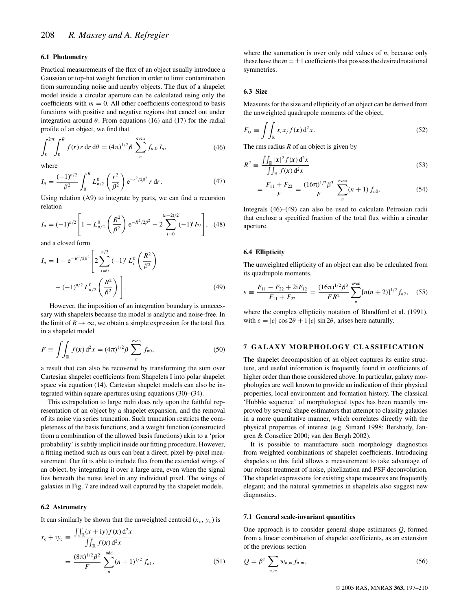## **6.1 Photometry**

Practical measurements of the flux of an object usually introduce a Gaussian or top-hat weight function in order to limit contamination from surrounding noise and nearby objects. The flux of a shapelet model inside a circular aperture can be calculated using only the coefficients with  $m = 0$ . All other coefficients correspond to basis functions with positive and negative regions that cancel out under integration around  $\theta$ . From equations (16) and (17) for the radial profile of an object, we find that

$$
\int_0^{2\pi} \int_0^R f(r) \, r \, dr \, d\theta = (4\pi)^{1/2} \beta \sum_n^{\text{even}} f_{n,0} \, I_n,\tag{46}
$$

where

$$
I_n = \frac{(-1)^{n/2}}{\beta^2} \int_0^R L_{n/2}^0 \left(\frac{r^2}{\beta^2}\right) e^{-r^2/2\beta^2} r \, dr. \tag{47}
$$

Using relation (A9) to integrate by parts, we can find a recursion relation

$$
I_n = (-1)^{n/2} \left[ 1 - L_{n/2}^0 \left( \frac{R^2}{\beta^2} \right) e^{-R^2/2\beta^2} - 2 \sum_{i=0}^{(n-2)/2} (-1)^i I_{2i} \right], \quad (48)
$$

and a closed form

$$
I_n = 1 - e^{-R^2/2\beta^2} \left[ 2 \sum_{i=0}^{n/2} (-1)^i L_i^0 \left( \frac{R^2}{\beta^2} \right) - (-1)^{n/2} L_{n/2}^0 \left( \frac{R^2}{\beta^2} \right) \right].
$$
 (49)

However, the imposition of an integration boundary is unnecessary with shapelets because the model is analytic and noise-free. In the limit of  $R \to \infty$ , we obtain a simple expression for the total flux in a shapelet model

$$
F \equiv \iint_{\mathbb{R}} f(\mathbf{x}) d^2 x = (4\pi)^{1/2} \beta \sum_{n=0}^{\text{even}} f_{n0}, \tag{50}
$$

a result that can also be recovered by transforming the sum over Cartesian shapelet coefficients from Shapelets I into polar shapelet space via equation (14). Cartesian shapelet models can also be integrated within square apertures using equations (30)–(34).

This extrapolation to large radii does rely upon the faithful representation of an object by a shapelet expansion, and the removal of its noise via series truncation. Such truncation restricts the completeness of the basis functions, and a weight function (constructed from a combination of the allowed basis functions) akin to a 'prior probability' is subtly implicit inside our fitting procedure. However, a fitting method such as ours can beat a direct, pixel-by-pixel measurement. Our fit is able to include flux from the extended wings of an object, by integrating it over a large area, even when the signal lies beneath the noise level in any individual pixel. The wings of galaxies in Fig. 7 are indeed well captured by the shapelet models.

## **6.2 Astrometry**

It can similarly be shown that the unweighted centroid  $(x_c, y_c)$  is

$$
x_{c} + iy_{c} \equiv \frac{\int \int_{\mathbb{R}} (x + iy) f(x) d^{2}x}{\int \int_{\mathbb{R}} f(x) d^{2}x}
$$

$$
= \frac{(8\pi)^{1/2} \beta^{2}}{F} \sum_{n}^{\text{odd}} (n+1)^{1/2} f_{n1}, \tag{51}
$$

where the summation is over only odd values of *n*, because only these have the  $m = \pm 1$  coefficients that possess the desired rotational symmetries.

#### **6.3 Size**

Measures for the size and ellipticity of an object can be derived from the unweighted quadrupole moments of the object,

$$
F_{ij} \equiv \iint_{\mathbb{R}} x_i x_j f(\mathbf{x}) \, \mathrm{d}^2 x. \tag{52}
$$

The rms radius *R* of an object is given by

$$
R^{2} \equiv \frac{\iint_{\mathbb{R}} |\mathbf{x}|^{2} f(\mathbf{x}) d^{2} x}{\iint_{\mathbb{R}} f(\mathbf{x}) d^{2} x}
$$
(53)

$$
=\frac{F_{11}+F_{22}}{F}=\frac{(16\pi)^{1/2}\beta^3}{F}\sum_{n}^{\text{even}}(n+1)\,f_{n0}.\tag{54}
$$

Integrals (46)–(49) can also be used to calculate Petrosian radii that enclose a specified fraction of the total flux within a circular aperture.

#### **6.4 Ellipticity**

The unweighted ellipticity of an object can also be calculated from its quadrupole moments.

$$
\varepsilon \equiv \frac{F_{11} - F_{22} + 2iF_{12}}{F_{11} + F_{22}} = \frac{(16\pi)^{1/2}\beta^3}{FR^2} \sum_{n}^{\text{even}} [n(n+2)]^{1/2} f_{n2}, \quad (55)
$$

where the complex ellipticity notation of Blandford et al. (1991), with  $\varepsilon = |e| \cos 2\theta + i |e| \sin 2\theta$ , arises here naturally.

## **7 GALAXY MORPHOLOGY CLASSIFICATION**

The shapelet decomposition of an object captures its entire structure, and useful information is frequently found in coefficients of higher order than those considered above. In particular, galaxy morphologies are well known to provide an indication of their physical properties, local environment and formation history. The classical 'Hubble sequence' of morphological types has been recently improved by several shape estimators that attempt to classify galaxies in a more quantitative manner, which correlates directly with the physical properties of interest (e.g. Simard 1998; Bershady, Jangren & Conselice 2000; van den Bergh 2002).

It is possible to manufacture such morphology diagnostics from weighted combinations of shapelet coefficients. Introducing shapelets to this field allows a measurement to take advantage of our robust treatment of noise, pixelization and PSF deconvolution. The shapelet expressions for existing shape measures are frequently elegant; and the natural symmetries in shapelets also suggest new diagnostics.

#### **7.1 General scale-invariant quantities**

One approach is to consider general shape estimators *Q*, formed from a linear combination of shapelet coefficients, as an extension of the previous section

$$
Q = \beta^s \sum_{n,m} w_{n,m} f_{n,m}, \qquad (56)
$$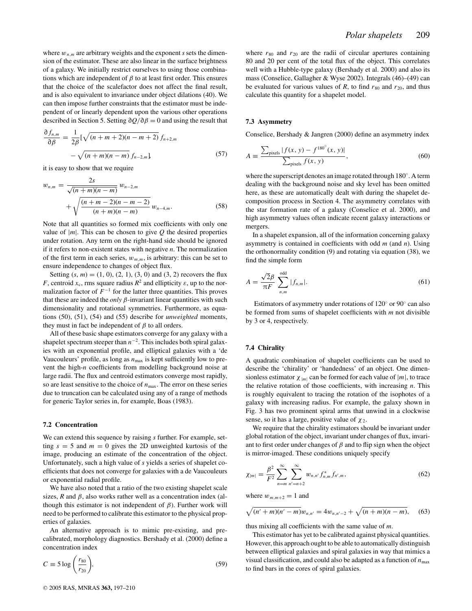where  $w_{n,m}$  are arbitrary weights and the exponent *s* sets the dimension of the estimator. These are also linear in the surface brightness of a galaxy. We initially restrict ourselves to using those combinations which are independent of  $\beta$  to at least first order. This ensures that the choice of the scalefactor does not affect the final result, and is also equivalent to invariance under object dilations (40). We can then impose further constraints that the estimator must be independent of or linearly dependent upon the various other operations described in Section 5. Setting  $\partial Q/\partial \beta = 0$  and using the result that

$$
\frac{\partial f_{n,m}}{\partial \beta} = \frac{1}{2\beta} \left[ \sqrt{(n+m+2)(n-m+2)} f_{n+2,m} - \sqrt{(n+m)(n-m)} f_{n-2,m} \right]
$$
\n(57)

it is easy to show that we require

$$
w_{n,m} = \frac{2s}{\sqrt{(n+m)(n-m)}} w_{n-2,m}
$$
  
+ 
$$
\sqrt{\frac{(n+m-2)(n-m-2)}{(n+m)(n-m)}} w_{n-4,m}.
$$
 (58)

Note that all quantities so formed mix coefficients with only one value of  $|m|$ . This can be chosen to give  $Q$  the desired properties under rotation. Any term on the right-hand side should be ignored if it refers to non-existent states with negative *n*. The normalization of the first term in each series,  $w_{m,m}$ , is arbitrary: this can be set to ensure independence to changes of object flux.

Setting  $(s, m) = (1, 0), (2, 1), (3, 0)$  and  $(3, 2)$  recovers the flux *F*, centroid  $x_c$ , rms square radius  $R^2$  and ellipticity  $\varepsilon$ , up to the normalization factor of  $F^{-1}$  for the latter three quantities. This proves that these are indeed the *only* β-invariant linear quantities with such dimensionality and rotational symmetries. Furthermore, as equations (50), (51), (54) and (55) describe for *unweighted* moments, they must in fact be independent of  $\beta$  to all orders.

All of these basic shape estimators converge for any galaxy with a shapelet spectrum steeper than *n*−2. This includes both spiral galaxies with an exponential profile, and elliptical galaxies with a 'de Vaucouleurs' profile, as long as  $n_{\text{max}}$  is kept sufficiently low to prevent the high-*n* coefficients from modelling background noise at large radii. The flux and centroid estimators converge most rapidly, so are least sensitive to the choice of  $n_{\text{max}}$ . The error on these series due to truncation can be calculated using any of a range of methods for generic Taylor series in, for example, Boas (1983).

#### **7.2 Concentration**

We can extend this sequence by raising *s* further. For example, setting  $s = 5$  and  $m = 0$  gives the 2D unweighted kurtosis of the image, producing an estimate of the concentration of the object. Unfortunately, such a high value of *s* yields a series of shapelet coefficients that does not converge for galaxies with a de Vaucouleurs or exponential radial profile.

We have also noted that a ratio of the two existing shapelet scale sizes,  $R$  and  $\beta$ , also works rather well as a concentration index (although this estimator is not independent of  $\beta$ ). Further work will need to be performed to calibrate this estimator to the physical properties of galaxies.

An alternative approach is to mimic pre-existing, and precalibrated, morphology diagnostics. Bershady et al. (2000) define a concentration index

$$
C \equiv 5 \log \left( \frac{r_{80}}{r_{20}} \right),\tag{59}
$$

where  $r_{80}$  and  $r_{20}$  are the radii of circular apertures containing 80 and 20 per cent of the total flux of the object. This correlates well with a Hubble-type galaxy (Bershady et al. 2000) and also its mass (Conselice, Gallagher & Wyse 2002). Integrals (46)–(49) can be evaluated for various values of *R*, to find  $r_{80}$  and  $r_{20}$ , and thus calculate this quantity for a shapelet model.

#### **7.3 Asymmetry**

Conselice, Bershady & Jangren (2000) define an asymmetry index

$$
A = \frac{\sum_{\text{pixels}} |f(x, y) - f^{180^{\circ}}(x, y)|}{\sum_{\text{pixels}} f(x, y)},
$$
\n(60)

where the superscript denotes an image rotated through 180◦. A term dealing with the background noise and sky level has been omitted here, as these are automatically dealt with during the shapelet decomposition process in Section 4. The asymmetry correlates with the star formation rate of a galaxy (Conselice et al. 2000), and high asymmetry values often indicate recent galaxy interactions or mergers.

In a shapelet expansion, all of the information concerning galaxy asymmetry is contained in coefficients with odd *m* (and *n*). Using the orthonormality condition (9) and rotating via equation (38), we find the simple form

$$
A = \frac{\sqrt{2}\beta}{\pi F} \sum_{n,m}^{\text{odd}} |f_{n,m}|.
$$
 (61)

Estimators of asymmetry under rotations of 120◦ or 90◦ can also be formed from sums of shapelet coefficients with *m* not divisible by 3 or 4, respectively.

## **7.4 Chirality**

A quadratic combination of shapelet coefficients can be used to describe the 'chirality' or 'handedness' of an object. One dimensionless estimator  $\chi_{|m|}$  can be formed for each value of  $|m|$ , to trace the relative rotation of those coefficients, with increasing *n*. This is roughly equivalent to tracing the rotation of the isophotes of a galaxy with increasing radius. For example, the galaxy shown in Fig. 3 has two prominent spiral arms that unwind in a clockwise sense, so it has a large, positive value of  $\chi_2$ .

We require that the chirality estimators should be invariant under global rotation of the object, invariant under changes of flux, invariant to first order under changes of  $\beta$  and to flip sign when the object is mirror-imaged. These conditions uniquely specify

$$
\chi_{|m|} = \frac{\beta^2}{F^2} \sum_{n=m}^{\infty} \sum_{n'=n+2}^{\infty} w_{n,n'} f_{n,m}^* f_{n',m}, \qquad (62)
$$

where  $w_{m,m+2} = 1$  and

$$
\sqrt{(n'+m)(n'-m)}w_{n,n'}=4w_{n,n'-2}+\sqrt{(n+m)(n-m)},\quad (63)
$$

thus mixing all coefficients with the same value of *m*.

This estimator has yet to be calibrated against physical quantities. However, this approach ought to be able to automatically distinguish between elliptical galaxies and spiral galaxies in way that mimics a visual classification, and could also be adapted as a function of  $n_{\text{max}}$ to find bars in the cores of spiral galaxies.